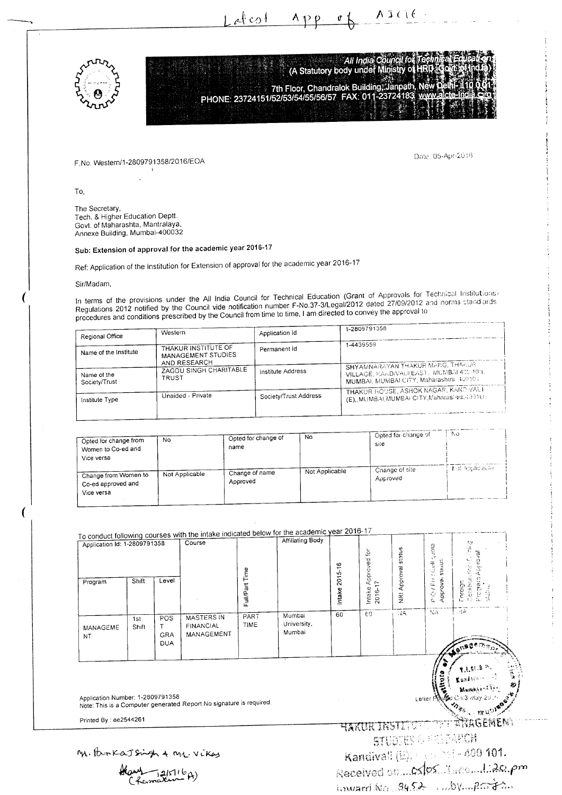

All India Council for<br>(A Statutory body under Ministry of 7th Floor, Chandralok Building, Janpath, N<br>PHONE: 23724151/52/53/54/55/56/57 FAX: 011-23724183 w **WANT!** 

 $\bar{\mathcal{C}}$ 

 $\Lambda p p$ 

F No. Western/1-2809791358/2016/EOA

Date: 05-Apr-2016

AILIE

To,

The Secretary, Tech. & Higher Education Deptt. Govt. of Maharashta, Mantralaya, Annexe Building, Mumbai-400032

## Sub: Extension of approval for the academic year 2016-17

Ref: Application of the Institution for Extension of approval for the academic year 2016-17

 $+$  afrest

## Sir/Madam,

In terms of the provisions under the All India Council for Technical Education (Grant of Approvals for Technical Institutions) Regulations 2012 notified by the Council vide notification number F-No.37-3/Legal/2012 dated 27/09/2012 and norms cland ards procedures and conditions prescribed by the Council from time to time, I am directed to convey the approval to

| Regional Office              | Western                                                | Application Id        | 1-2809791358                                                                                                            |  |  |  |
|------------------------------|--------------------------------------------------------|-----------------------|-------------------------------------------------------------------------------------------------------------------------|--|--|--|
| Name of the Institute        | THAKUR INSTITUTE OF<br>MANAGEMENT STUDIES              | Permanent Id          | 1-4439559                                                                                                               |  |  |  |
| Name of the<br>Society/Trust | AND RESEARCH<br>ZAGDU SINGH CHARITABLE<br><b>TRUST</b> | Institute Address     | SHYAMNARAYAN THAKUR MARG, THARJR<br>VILLAGE, KANDIVALI(EAST), MUMBAL400 10H,<br>MUMBAI, MUMBAI CITY, Maharashtra 400101 |  |  |  |
| Institute Type               | Unaided - Private                                      | Society/Trust Address | THAKUR HOUSE, ASHOK NAGAR, KANDIVALI<br>(E), MUMBAI, MUMBAI CITY, Maharashtra, 40-110 :                                 |  |  |  |
|                              |                                                        |                       |                                                                                                                         |  |  |  |

| Opted for change from<br>Women to Co-ed and<br>Vice versa | No.            | Opted for change of<br>name | No             | Opted for change of<br>site | ٨o                            |
|-----------------------------------------------------------|----------------|-----------------------------|----------------|-----------------------------|-------------------------------|
| Change from Women to<br>Co-ed approved and<br>Vice versa  | Not Applicable | Change of name<br>Approved  | Not Applicable | Change of site<br>Approved  | <b>India biblion to The T</b> |

## To conduct following courses with the intake indicated below for the academic year 2016-17 **Affiliating Body** Application Id: 1-2809791358 Course pic) / Fiel/ Gulf quota<br>Approvai status É NRI Approval status ě Program Approval Intake Approved fo<br>2016-17 Conebonine (T) ntake 2015-16 Full/Part Time Shift Level Program Foreign ÑÃ āī  $\overline{N}$  $\overline{60}$  $60$ PART Mumbai  $\overline{POS}$ **MASTERS IN**  $\overline{1st}$ University, **TIME FINANCIAL** MANAGEME Shift  $T$ Mumbai GRA MANAGEMENT **NT**  $DIIA$

Application Number: 1-2809791358 Note: This is a Computer generated Report No signature is required.

Printed By: ae2544261

M. ParkaJsingh & ML. Vikas

Hans 1215116A)

HAKUR INSTITUT THE ANAGEMENT STUDIES & CALEANOI Kandivall (E), expected - 400 101. Received on Cs/ps. Three 1.20.pm  $1$  inward  $N_{G}$   $34.52$  and  $N_{\text{eff}}$   $2\pi$ 

**Felier** 

1:3 May 20

ಿಗಳ ಟ್ರಾಗ್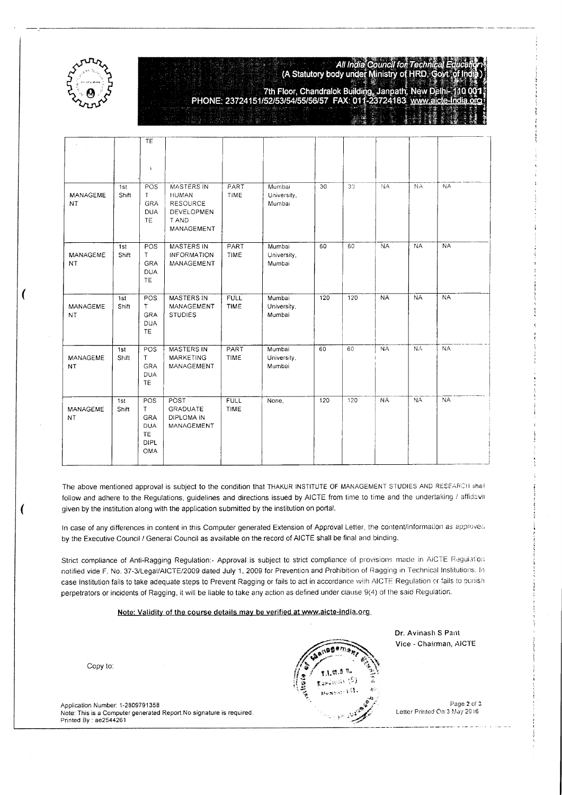

 $\overline{ }$ 

All India Council for Techn<br>(A Statutory body under Ministry of HRD,

7th Floor, Chandralok Building, Janpath, New Delh<br>PHONE: 23724151/52/53/54/55/56/57 FAX: 011-23724183 www.aicle

|                              |              | TE                                                        |                                                                                           |                            |                                 |                 |                 |           |           |           |
|------------------------------|--------------|-----------------------------------------------------------|-------------------------------------------------------------------------------------------|----------------------------|---------------------------------|-----------------|-----------------|-----------|-----------|-----------|
|                              |              | $\pmb{\downarrow}$                                        |                                                                                           |                            |                                 |                 |                 |           |           |           |
| <b>MANAGEME</b><br>NT.       | 1st<br>Shift | POS<br>T.<br>GRA<br><b>DUA</b><br><b>TE</b>               | <b>MASTERS IN</b><br><b>HUMAN</b><br><b>RESOURCE</b><br>DEVELOPMEN<br>T AND<br>MANAGEMENT | PART<br><b>TIME</b>        | Mumbai<br>University,<br>Mumbai | $\overline{30}$ | 30 <sup>°</sup> | <b>NA</b> | NA        | <b>NA</b> |
| MANAGEME<br>NT               | 1st<br>Shift | POS<br>T.<br>GRA<br><b>DUA</b><br><b>TE</b>               | <b>MASTERS IN</b><br><b>INFORMATION</b><br>MANAGEMENT                                     | PART<br>TIME               | Mumbai<br>University,<br>Mumbai | 60              | 60              | <b>NA</b> | <b>NA</b> | <b>NA</b> |
| <b>MANAGEME</b><br><b>NT</b> | 1st<br>Shift | POS<br>T<br><b>GRA</b><br><b>DUA</b><br>TE                | <b>MASTERS IN</b><br>MANAGEMENT<br><b>STUDIES</b>                                         | <b>FULL</b><br><b>TIME</b> | Mumbai<br>University,<br>Mumbai | 120             | 120             | <b>NA</b> | <b>NA</b> | <b>NA</b> |
| MANAGEME<br><b>NT</b>        | 1st<br>Shift | POS<br>T.<br><b>GRA</b><br><b>DUA</b><br>TE               | <b>MASTERS IN</b><br><b>MARKETING</b><br>MANAGEMENT                                       | PART<br><b>TIME</b>        | Mumbai<br>University,<br>Mumbai | 60              | 60              | <b>NA</b> | <b>NA</b> | <b>NA</b> |
| MANAGEME<br>NT               | 1st<br>Shift | POS<br>Τ<br>GRA<br>DUA<br><b>TE</b><br>DIPL<br><b>OMA</b> | POST<br><b>GRADUATE</b><br>DIPLOMA IN<br>MANAGEMENT                                       | <b>FULL</b><br><b>TIME</b> | None,                           | 120             | 120             | <b>NA</b> | <b>NA</b> | NA        |

The above mentioned approval is subject to the condition that THAKUR INSTITUTE OF MANAGEMENT STUDIES AND RESEARCH shall follow and adhere to the Regulations, guidelines and directions issued by AICTE from time to time and the undertaking / affidavit given by the institution along with the application submitted by the institution on portal.

In case of any differences in content in this Computer generated Extension of Approval Letter, the content/information as approved by the Executive Council / General Council as available on the record of AICTE shall be final and binding.

Strict compliance of Anti-Ragging Regulation:- Approval is subject to strict compliance of provisions made in AICTE Regulation notified vide F. No. 37-3/Legal/AICTE/2009 dated July 1, 2009 for Prevention and Prohibition of Ragging in Technical Institutions. In case Institution fails to take adequate steps to Prevent Ragging or fails to act in accordance with AICTE Regulation or fails to punish perpetrators or incidents of Ragging, it will be liable to take any action as defined under clause 9(4) of the said Reguiation.

## Note: Validity of the course details may be verified at www.aicte-india.org

Copy to:

Application Number: 1-2809791 358 Note: This is a Computer generated Report.No signature is required Printed By : ae2544261



Dr. Avinash S Pant Vice - Chairman, AICTE

Page 2 of 3 Letter Printed On:3 May 2016